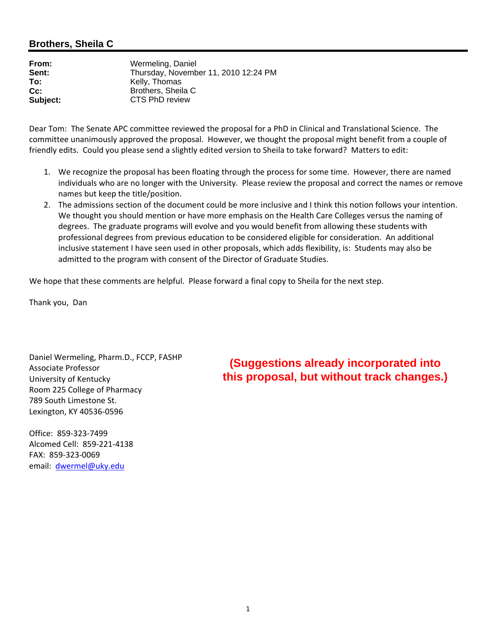#### **Brothers, Sheila C**

| Wermeling, Daniel                    |
|--------------------------------------|
| Thursday, November 11, 2010 12:24 PM |
| Kelly, Thomas                        |
| Brothers, Sheila C                   |
| CTS PhD review                       |
|                                      |

Dear Tom: The Senate APC committee reviewed the proposal for a PhD in Clinical and Translational Science. The committee unanimously approved the proposal. However, we thought the proposal might benefit from a couple of friendly edits. Could you please send a slightly edited version to Sheila to take forward? Matters to edit:

- 1. We recognize the proposal has been floating through the process for some time. However, there are named individuals who are no longer with the University. Please review the proposal and correct the names or remove names but keep the title/position.
- 2. The admissions section of the document could be more inclusive and I think this notion follows your intention. We thought you should mention or have more emphasis on the Health Care Colleges versus the naming of degrees. The graduate programs will evolve and you would benefit from allowing these students with professional degrees from previous education to be considered eligible for consideration. An additional inclusive statement I have seen used in other proposals, which adds flexibility, is: Students may also be admitted to the program with consent of the Director of Graduate Studies.

We hope that these comments are helpful. Please forward a final copy to Sheila for the next step.

Thank you, Dan

Daniel Wermeling, Pharm.D., FCCP, FASHP Associate Professor University of Kentucky Room 225 College of Pharmacy 789 South Limestone St. Lexington, KY 40536‐0596

Office: 859‐323‐7499 Alcomed Cell: 859‐221‐4138 FAX: 859‐323‐0069 email: dwermel@uky.edu

**(Suggestions already incorporated into this proposal, but without track changes.)**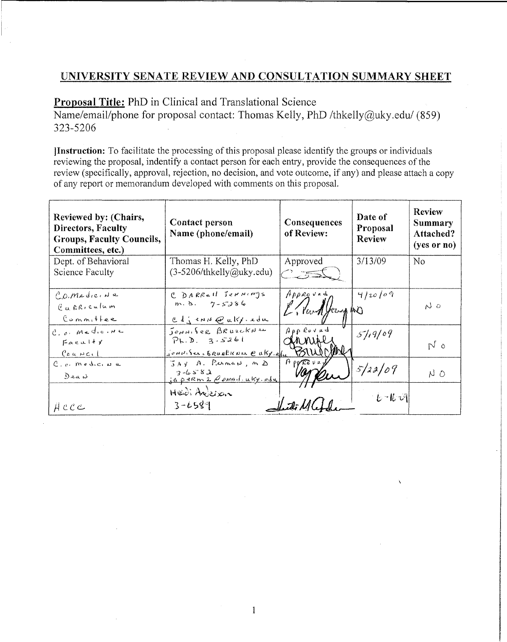## UNIVERSITY SENATE REVIEW AND CONSULTATION SUMMARY SHEET

Proposal Title: PhD in Clinical and Translational Science

Name/email/phone for proposal contact: Thomas Kelly, PhD /thkelly@uky.edu/ (859) 323-5206

Instruction: To facilitate the processing of this proposal please identify the groups or individuals reviewing the proposal, indentify a contact person for each entry, provide the consequences of the review (specifically, approval, rejection, no decision, and vote outcome, if any) and please attach a copy of any report or memorandum developed with comments on this proposal.

| Reviewed by: (Chairs,<br><b>Directors, Faculty</b><br>Groups, Faculty Councils,<br>Committees, etc.) | Contact person<br>Name (phone/email) | Consequences<br>of Review: | Date of<br>Proposal<br><b>Review</b> | <b>Review</b><br>Summary<br>Attached?<br>$(yes$ or no) |
|------------------------------------------------------------------------------------------------------|--------------------------------------|----------------------------|--------------------------------------|--------------------------------------------------------|
| Dept. of Behavioral                                                                                  | Thomas H. Kelly, PhD                 | Approved                   | 3/13/09                              | No                                                     |
| Science Faculty                                                                                      | $(3-5206/th\text{kelly@uky.edu})$    | $\rightarrow$ $\equiv$     |                                      |                                                        |
| C.O. MediciNa                                                                                        | C DARRELL Jernings                   | Approved                   | 4/20/09                              |                                                        |
| Curriculum                                                                                           | $m. \, b. \, 7 - 5286$               | E. Purkley to              |                                      | N 0                                                    |
| Commiter                                                                                             | CdjenNeukfedu                        |                            |                                      |                                                        |
| C. o. Medicina                                                                                       | Jennifer BRUsckNew                   | Apploved                   | 5/19/09                              |                                                        |
| Faceultx                                                                                             | $P_k.D. 3.5261$                      | A NIR                      |                                      | N <sub>o</sub>                                         |
| $l$ <sub>a</sub> $k$ NC $l$                                                                          | Jennisers GRUEBKNer @ aky.elu        |                            |                                      |                                                        |
| $C_{10}$ , medicina                                                                                  | JAY A. Perman, MD<br>$2 - 6582$      | $H$ pp $R$ <sub>3</sub> v  | 5/22/09                              |                                                        |
| DeaN                                                                                                 | japerm2 Comail.uky.odu               |                            |                                      | NΟ                                                     |
|                                                                                                      | Heidi Anderson                       |                            | しーにい                                 |                                                        |
| ACCC                                                                                                 | $3 - 6589$                           |                            |                                      |                                                        |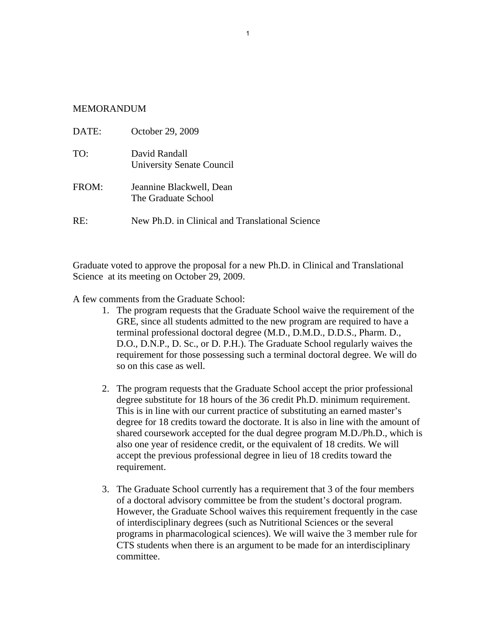#### **MEMORANDUM**

| DATE: | October 29, 2009                                |
|-------|-------------------------------------------------|
| TO:   | David Randall<br>University Senate Council      |
| FROM: | Jeannine Blackwell, Dean<br>The Graduate School |
| RE:   | New Ph.D. in Clinical and Translational Science |

Graduate voted to approve the proposal for a new Ph.D. in Clinical and Translational Science at its meeting on October 29, 2009.

A few comments from the Graduate School:

- 1. The program requests that the Graduate School waive the requirement of the GRE, since all students admitted to the new program are required to have a terminal professional doctoral degree (M.D., D.M.D., D.D.S., Pharm. D., D.O., D.N.P., D. Sc., or D. P.H.). The Graduate School regularly waives the requirement for those possessing such a terminal doctoral degree. We will do so on this case as well.
- 2. The program requests that the Graduate School accept the prior professional degree substitute for 18 hours of the 36 credit Ph.D. minimum requirement. This is in line with our current practice of substituting an earned master's degree for 18 credits toward the doctorate. It is also in line with the amount of shared coursework accepted for the dual degree program M.D./Ph.D., which is also one year of residence credit, or the equivalent of 18 credits. We will accept the previous professional degree in lieu of 18 credits toward the requirement.
- 3. The Graduate School currently has a requirement that 3 of the four members of a doctoral advisory committee be from the student's doctoral program. However, the Graduate School waives this requirement frequently in the case of interdisciplinary degrees (such as Nutritional Sciences or the several programs in pharmacological sciences). We will waive the 3 member rule for CTS students when there is an argument to be made for an interdisciplinary committee.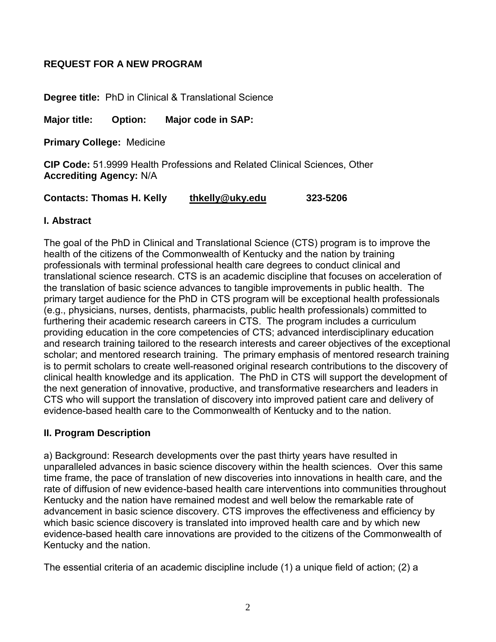## **REQUEST FOR A NEW PROGRAM**

**Degree title:** PhD in Clinical & Translational Science

**Major title: Option: Major code in SAP:** 

**Primary College:** Medicine

**CIP Code:** 51.9999 Health Professions and Related Clinical Sciences, Other **Accrediting Agency:** N/A

**Contacts: Thomas H. Kelly [thkelly@uky.edu](mailto:thkelly@uky.edu) 323-5206**

#### **I. Abstract**

The goal of the PhD in Clinical and Translational Science (CTS) program is to improve the health of the citizens of the Commonwealth of Kentucky and the nation by training professionals with terminal professional health care degrees to conduct clinical and translational science research. CTS is an academic discipline that focuses on acceleration of the translation of basic science advances to tangible improvements in public health. The primary target audience for the PhD in CTS program will be exceptional health professionals (e.g., physicians, nurses, dentists, pharmacists, public health professionals) committed to furthering their academic research careers in CTS. The program includes a curriculum providing education in the core competencies of CTS; advanced interdisciplinary education and research training tailored to the research interests and career objectives of the exceptional scholar; and mentored research training. The primary emphasis of mentored research training is to permit scholars to create well-reasoned original research contributions to the discovery of clinical health knowledge and its application. The PhD in CTS will support the development of the next generation of innovative, productive, and transformative researchers and leaders in CTS who will support the translation of discovery into improved patient care and delivery of evidence-based health care to the Commonwealth of Kentucky and to the nation.

#### **II. Program Description**

a) Background: Research developments over the past thirty years have resulted in unparalleled advances in basic science discovery within the health sciences. Over this same time frame, the pace of translation of new discoveries into innovations in health care, and the rate of diffusion of new evidence-based health care interventions into communities throughout Kentucky and the nation have remained modest and well below the remarkable rate of advancement in basic science discovery. CTS improves the effectiveness and efficiency by which basic science discovery is translated into improved health care and by which new evidence-based health care innovations are provided to the citizens of the Commonwealth of Kentucky and the nation.

The essential criteria of an academic discipline include (1) a unique field of action; (2) a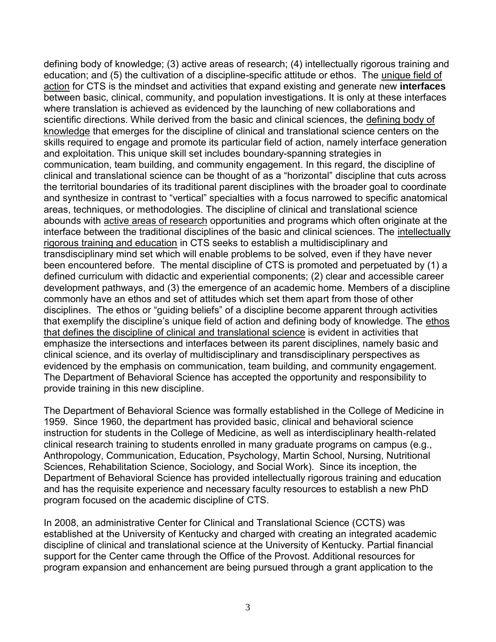defining body of knowledge; (3) active areas of research; (4) intellectually rigorous training and education; and (5) the cultivation of a discipline-specific attitude or ethos. The unique field of action for CTS is the mindset and activities that expand existing and generate new **interfaces**  between basic, clinical, community, and population investigations. It is only at these interfaces where translation is achieved as evidenced by the launching of new collaborations and scientific directions. While derived from the basic and clinical sciences, the defining body of knowledge that emerges for the discipline of clinical and translational science centers on the skills required to engage and promote its particular field of action, namely interface generation and exploitation. This unique skill set includes boundary-spanning strategies in communication, team building, and community engagement. In this regard, the discipline of clinical and translational science can be thought of as a "horizontal" discipline that cuts across the territorial boundaries of its traditional parent disciplines with the broader goal to coordinate and synthesize in contrast to "vertical" specialties with a focus narrowed to specific anatomical areas, techniques, or methodologies. The discipline of clinical and translational science abounds with active areas of research opportunities and programs which often originate at the interface between the traditional disciplines of the basic and clinical sciences. The intellectually rigorous training and education in CTS seeks to establish a multidisciplinary and transdisciplinary mind set which will enable problems to be solved, even if they have never been encountered before. The mental discipline of CTS is promoted and perpetuated by (1) a defined curriculum with didactic and experiential components; (2) clear and accessible career development pathways, and (3) the emergence of an academic home. Members of a discipline commonly have an ethos and set of attitudes which set them apart from those of other disciplines. The ethos or "guiding beliefs" of a discipline become apparent through activities that exemplify the discipline's unique field of action and defining body of knowledge. The ethos that defines the discipline of clinical and translational science is evident in activities that emphasize the intersections and interfaces between its parent disciplines, namely basic and clinical science, and its overlay of multidisciplinary and transdisciplinary perspectives as evidenced by the emphasis on communication, team building, and community engagement. The Department of Behavioral Science has accepted the opportunity and responsibility to provide training in this new discipline.

The Department of Behavioral Science was formally established in the College of Medicine in 1959. Since 1960, the department has provided basic, clinical and behavioral science instruction for students in the College of Medicine, as well as interdisciplinary health-related clinical research training to students enrolled in many graduate programs on campus (e.g., Anthropology, Communication, Education, Psychology, Martin School, Nursing, Nutritional Sciences, Rehabilitation Science, Sociology, and Social Work). Since its inception, the Department of Behavioral Science has provided intellectually rigorous training and education and has the requisite experience and necessary faculty resources to establish a new PhD program focused on the academic discipline of CTS.

In 2008, an administrative Center for Clinical and Translational Science (CCTS) was established at the University of Kentucky and charged with creating an integrated academic discipline of clinical and translational science at the University of Kentucky. Partial financial support for the Center came through the Office of the Provost. Additional resources for program expansion and enhancement are being pursued through a grant application to the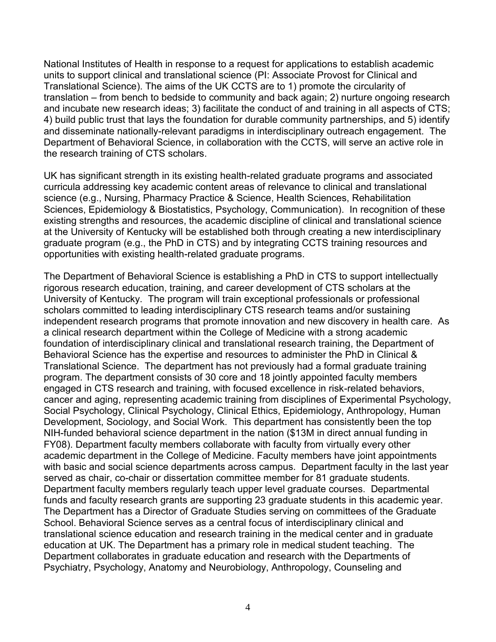National Institutes of Health in response to a request for applications to establish academic units to support clinical and translational science (PI: Associate Provost for Clinical and Translational Science). The aims of the UK CCTS are to 1) promote the circularity of translation – from bench to bedside to community and back again; 2) nurture ongoing research and incubate new research ideas; 3) facilitate the conduct of and training in all aspects of CTS; 4) build public trust that lays the foundation for durable community partnerships, and 5) identify and disseminate nationally-relevant paradigms in interdisciplinary outreach engagement. The Department of Behavioral Science, in collaboration with the CCTS, will serve an active role in the research training of CTS scholars.

UK has significant strength in its existing health-related graduate programs and associated curricula addressing key academic content areas of relevance to clinical and translational science (e.g., Nursing, Pharmacy Practice & Science, Health Sciences, Rehabilitation Sciences, Epidemiology & Biostatistics, Psychology, Communication). In recognition of these existing strengths and resources, the academic discipline of clinical and translational science at the University of Kentucky will be established both through creating a new interdisciplinary graduate program (e.g., the PhD in CTS) and by integrating CCTS training resources and opportunities with existing health-related graduate programs.

The Department of Behavioral Science is establishing a PhD in CTS to support intellectually rigorous research education, training, and career development of CTS scholars at the University of Kentucky. The program will train exceptional professionals or professional scholars committed to leading interdisciplinary CTS research teams and/or sustaining independent research programs that promote innovation and new discovery in health care. As a clinical research department within the College of Medicine with a strong academic foundation of interdisciplinary clinical and translational research training, the Department of Behavioral Science has the expertise and resources to administer the PhD in Clinical & Translational Science. The department has not previously had a formal graduate training program. The department consists of 30 core and 18 jointly appointed faculty members engaged in CTS research and training, with focused excellence in risk-related behaviors, cancer and aging, representing academic training from disciplines of Experimental Psychology, Social Psychology, Clinical Psychology, Clinical Ethics, Epidemiology, Anthropology, Human Development, Sociology, and Social Work. This department has consistently been the top NIH-funded behavioral science department in the nation (\$13M in direct annual funding in FY08). Department faculty members collaborate with faculty from virtually every other academic department in the College of Medicine. Faculty members have joint appointments with basic and social science departments across campus. Department faculty in the last year served as chair, co-chair or dissertation committee member for 81 graduate students. Department faculty members regularly teach upper level graduate courses. Departmental funds and faculty research grants are supporting 23 graduate students in this academic year. The Department has a Director of Graduate Studies serving on committees of the Graduate School. Behavioral Science serves as a central focus of interdisciplinary clinical and translational science education and research training in the medical center and in graduate education at UK. The Department has a primary role in medical student teaching. The Department collaborates in graduate education and research with the Departments of Psychiatry, Psychology, Anatomy and Neurobiology, Anthropology, Counseling and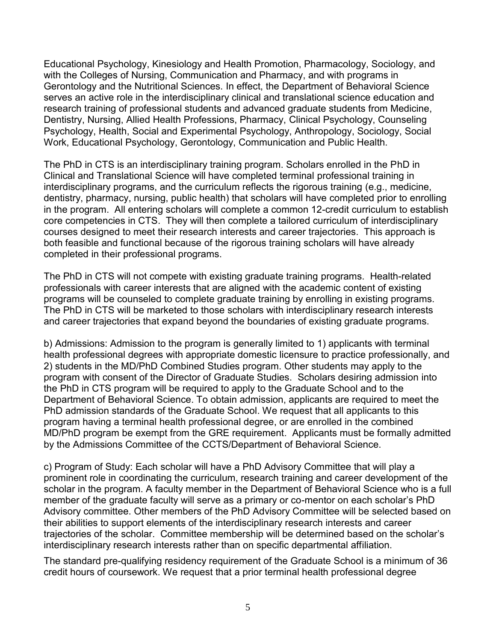Educational Psychology, Kinesiology and Health Promotion, Pharmacology, Sociology, and with the Colleges of Nursing, Communication and Pharmacy, and with programs in Gerontology and the Nutritional Sciences. In effect, the Department of Behavioral Science serves an active role in the interdisciplinary clinical and translational science education and research training of professional students and advanced graduate students from Medicine, Dentistry, Nursing, Allied Health Professions, Pharmacy, Clinical Psychology, Counseling Psychology, Health, Social and Experimental Psychology, Anthropology, Sociology, Social Work, Educational Psychology, Gerontology, Communication and Public Health.

The PhD in CTS is an interdisciplinary training program. Scholars enrolled in the PhD in Clinical and Translational Science will have completed terminal professional training in interdisciplinary programs, and the curriculum reflects the rigorous training (e.g., medicine, dentistry, pharmacy, nursing, public health) that scholars will have completed prior to enrolling in the program. All entering scholars will complete a common 12-credit curriculum to establish core competencies in CTS. They will then complete a tailored curriculum of interdisciplinary courses designed to meet their research interests and career trajectories. This approach is both feasible and functional because of the rigorous training scholars will have already completed in their professional programs.

The PhD in CTS will not compete with existing graduate training programs. Health-related professionals with career interests that are aligned with the academic content of existing programs will be counseled to complete graduate training by enrolling in existing programs. The PhD in CTS will be marketed to those scholars with interdisciplinary research interests and career trajectories that expand beyond the boundaries of existing graduate programs.

b) Admissions: Admission to the program is generally limited to 1) applicants with terminal health professional degrees with appropriate domestic licensure to practice professionally, and 2) students in the MD/PhD Combined Studies program. Other students may apply to the program with consent of the Director of Graduate Studies. Scholars desiring admission into the PhD in CTS program will be required to apply to the Graduate School and to the Department of Behavioral Science. To obtain admission, applicants are required to meet the PhD admission standards of the Graduate School. We request that all applicants to this program having a terminal health professional degree, or are enrolled in the combined MD/PhD program be exempt from the GRE requirement. Applicants must be formally admitted by the Admissions Committee of the CCTS/Department of Behavioral Science.

c) Program of Study: Each scholar will have a PhD Advisory Committee that will play a prominent role in coordinating the curriculum, research training and career development of the scholar in the program. A faculty member in the Department of Behavioral Science who is a full member of the graduate faculty will serve as a primary or co-mentor on each scholar"s PhD Advisory committee. Other members of the PhD Advisory Committee will be selected based on their abilities to support elements of the interdisciplinary research interests and career trajectories of the scholar. Committee membership will be determined based on the scholar"s interdisciplinary research interests rather than on specific departmental affiliation.

The standard pre-qualifying residency requirement of the Graduate School is a minimum of 36 credit hours of coursework. We request that a prior terminal health professional degree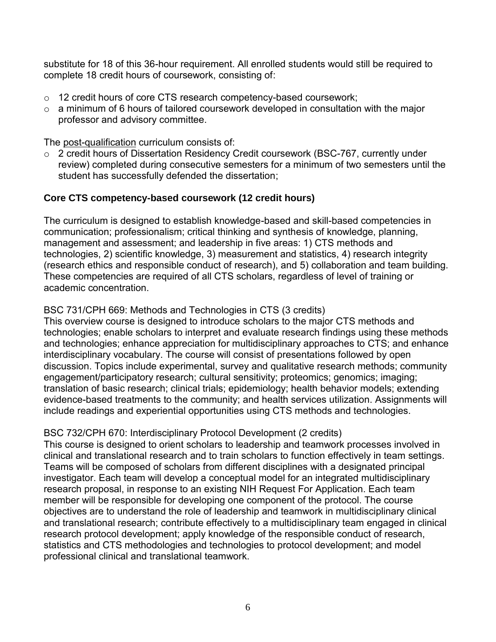substitute for 18 of this 36-hour requirement. All enrolled students would still be required to complete 18 credit hours of coursework, consisting of:

- $\circ$  12 credit hours of core CTS research competency-based coursework;
- $\circ$  a minimum of 6 hours of tailored coursework developed in consultation with the major professor and advisory committee.

The post-qualification curriculum consists of:

2 credit hours of Dissertation Residency Credit coursework (BSC-767, currently under review) completed during consecutive semesters for a minimum of two semesters until the student has successfully defended the dissertation;

## **Core CTS competency-based coursework (12 credit hours)**

The curriculum is designed to establish knowledge-based and skill-based competencies in communication; professionalism; critical thinking and synthesis of knowledge, planning, management and assessment; and leadership in five areas: 1) CTS methods and technologies, 2) scientific knowledge, 3) measurement and statistics, 4) research integrity (research ethics and responsible conduct of research), and 5) collaboration and team building. These competencies are required of all CTS scholars, regardless of level of training or academic concentration.

## BSC 731/CPH 669: Methods and Technologies in CTS (3 credits)

This overview course is designed to introduce scholars to the major CTS methods and technologies; enable scholars to interpret and evaluate research findings using these methods and technologies; enhance appreciation for multidisciplinary approaches to CTS; and enhance interdisciplinary vocabulary. The course will consist of presentations followed by open discussion. Topics include experimental, survey and qualitative research methods; community engagement/participatory research; cultural sensitivity; proteomics; genomics; imaging; translation of basic research; clinical trials; epidemiology; health behavior models; extending evidence-based treatments to the community; and health services utilization. Assignments will include readings and experiential opportunities using CTS methods and technologies.

## BSC 732/CPH 670: Interdisciplinary Protocol Development (2 credits)

This course is designed to orient scholars to leadership and teamwork processes involved in clinical and translational research and to train scholars to function effectively in team settings. Teams will be composed of scholars from different disciplines with a designated principal investigator. Each team will develop a conceptual model for an integrated multidisciplinary research proposal, in response to an existing NIH Request For Application. Each team member will be responsible for developing one component of the protocol. The course objectives are to understand the role of leadership and teamwork in multidisciplinary clinical and translational research; contribute effectively to a multidisciplinary team engaged in clinical research protocol development; apply knowledge of the responsible conduct of research, statistics and CTS methodologies and technologies to protocol development; and model professional clinical and translational teamwork.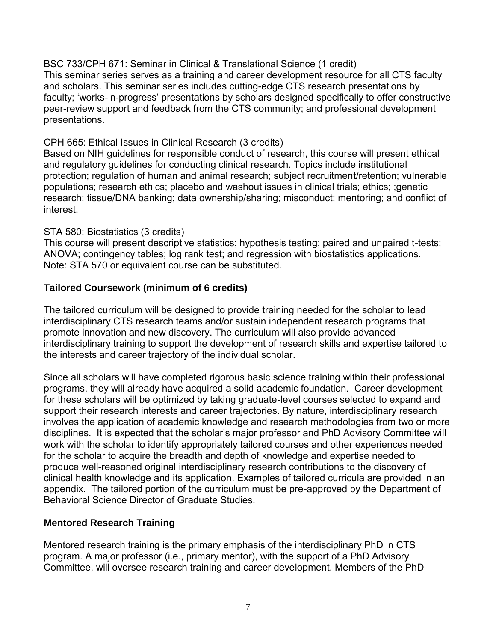BSC 733/CPH 671: Seminar in Clinical & Translational Science (1 credit) This seminar series serves as a training and career development resource for all CTS faculty and scholars. This seminar series includes cutting-edge CTS research presentations by faculty; "works-in-progress" presentations by scholars designed specifically to offer constructive peer-review support and feedback from the CTS community; and professional development presentations.

#### CPH 665: Ethical Issues in Clinical Research (3 credits)

Based on NIH guidelines for responsible conduct of research, this course will present ethical and regulatory guidelines for conducting clinical research. Topics include institutional protection; regulation of human and animal research; subject recruitment/retention; vulnerable populations; research ethics; placebo and washout issues in clinical trials; ethics; ;genetic research; tissue/DNA banking; data ownership/sharing; misconduct; mentoring; and conflict of interest.

#### STA 580: Biostatistics (3 credits)

This course will present descriptive statistics; hypothesis testing; paired and unpaired t-tests; ANOVA; contingency tables; log rank test; and regression with biostatistics applications. Note: STA 570 or equivalent course can be substituted.

## **Tailored Coursework (minimum of 6 credits)**

The tailored curriculum will be designed to provide training needed for the scholar to lead interdisciplinary CTS research teams and/or sustain independent research programs that promote innovation and new discovery. The curriculum will also provide advanced interdisciplinary training to support the development of research skills and expertise tailored to the interests and career trajectory of the individual scholar.

Since all scholars will have completed rigorous basic science training within their professional programs, they will already have acquired a solid academic foundation. Career development for these scholars will be optimized by taking graduate-level courses selected to expand and support their research interests and career trajectories. By nature, interdisciplinary research involves the application of academic knowledge and research methodologies from two or more disciplines. It is expected that the scholar"s major professor and PhD Advisory Committee will work with the scholar to identify appropriately tailored courses and other experiences needed for the scholar to acquire the breadth and depth of knowledge and expertise needed to produce well-reasoned original interdisciplinary research contributions to the discovery of clinical health knowledge and its application. Examples of tailored curricula are provided in an appendix. The tailored portion of the curriculum must be pre-approved by the Department of Behavioral Science Director of Graduate Studies.

## **Mentored Research Training**

Mentored research training is the primary emphasis of the interdisciplinary PhD in CTS program. A major professor (i.e., primary mentor), with the support of a PhD Advisory Committee, will oversee research training and career development. Members of the PhD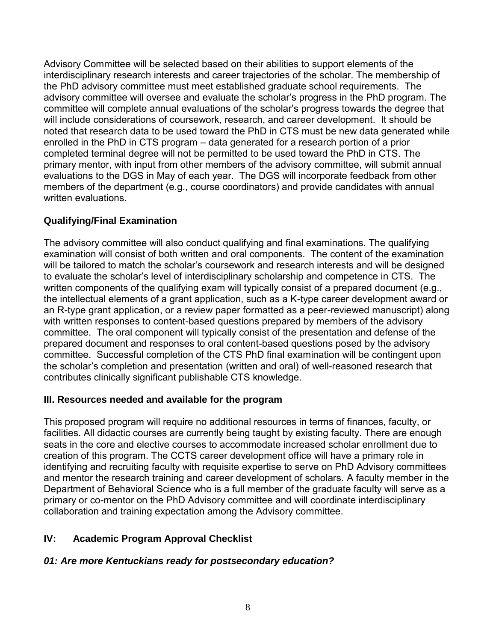Advisory Committee will be selected based on their abilities to support elements of the interdisciplinary research interests and career trajectories of the scholar. The membership of the PhD advisory committee must meet established graduate school requirements. The advisory committee will oversee and evaluate the scholar"s progress in the PhD program. The committee will complete annual evaluations of the scholar"s progress towards the degree that will include considerations of coursework, research, and career development. It should be noted that research data to be used toward the PhD in CTS must be new data generated while enrolled in the PhD in CTS program – data generated for a research portion of a prior completed terminal degree will not be permitted to be used toward the PhD in CTS. The primary mentor, with input from other members of the advisory committee, will submit annual evaluations to the DGS in May of each year. The DGS will incorporate feedback from other members of the department (e.g., course coordinators) and provide candidates with annual written evaluations.

# **Qualifying/Final Examination**

The advisory committee will also conduct qualifying and final examinations. The qualifying examination will consist of both written and oral components. The content of the examination will be tailored to match the scholar's coursework and research interests and will be designed to evaluate the scholar"s level of interdisciplinary scholarship and competence in CTS. The written components of the qualifying exam will typically consist of a prepared document (e.g., the intellectual elements of a grant application, such as a K-type career development award or an R-type grant application, or a review paper formatted as a peer-reviewed manuscript) along with written responses to content-based questions prepared by members of the advisory committee. The oral component will typically consist of the presentation and defense of the prepared document and responses to oral content-based questions posed by the advisory committee. Successful completion of the CTS PhD final examination will be contingent upon the scholar"s completion and presentation (written and oral) of well-reasoned research that contributes clinically significant publishable CTS knowledge.

## **III. Resources needed and available for the program**

This proposed program will require no additional resources in terms of finances, faculty, or facilities. All didactic courses are currently being taught by existing faculty. There are enough seats in the core and elective courses to accommodate increased scholar enrollment due to creation of this program. The CCTS career development office will have a primary role in identifying and recruiting faculty with requisite expertise to serve on PhD Advisory committees and mentor the research training and career development of scholars. A faculty member in the Department of Behavioral Science who is a full member of the graduate faculty will serve as a primary or co-mentor on the PhD Advisory committee and will coordinate interdisciplinary collaboration and training expectation among the Advisory committee.

## **IV: Academic Program Approval Checklist**

## *01: Are more Kentuckians ready for postsecondary education?*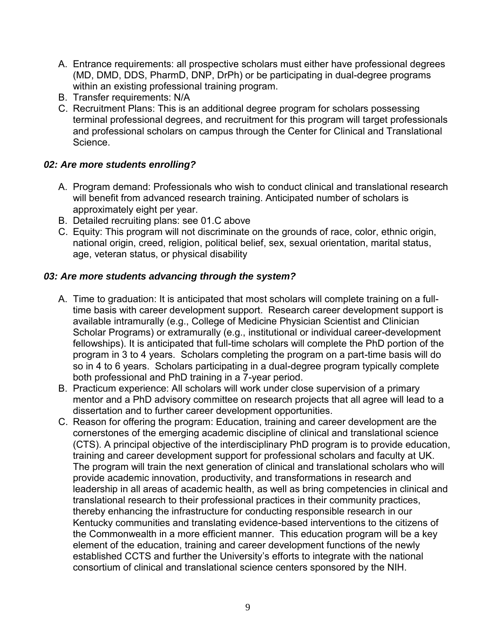- A. Entrance requirements: all prospective scholars must either have professional degrees (MD, DMD, DDS, PharmD, DNP, DrPh) or be participating in dual-degree programs within an existing professional training program.
- B. Transfer requirements: N/A
- C. Recruitment Plans: This is an additional degree program for scholars possessing terminal professional degrees, and recruitment for this program will target professionals and professional scholars on campus through the Center for Clinical and Translational Science.

## *02: Are more students enrolling?*

- A. Program demand: Professionals who wish to conduct clinical and translational research will benefit from advanced research training. Anticipated number of scholars is approximately eight per year.
- B. Detailed recruiting plans: see 01.C above
- C. Equity: This program will not discriminate on the grounds of race, color, ethnic origin, national origin, creed, religion, political belief, sex, sexual orientation, marital status, age, veteran status, or physical disability

## *03: Are more students advancing through the system?*

- A. Time to graduation: It is anticipated that most scholars will complete training on a fulltime basis with career development support. Research career development support is available intramurally (e.g., College of Medicine Physician Scientist and Clinician Scholar Programs) or extramurally (e.g., institutional or individual career-development fellowships). It is anticipated that full-time scholars will complete the PhD portion of the program in 3 to 4 years. Scholars completing the program on a part-time basis will do so in 4 to 6 years. Scholars participating in a dual-degree program typically complete both professional and PhD training in a 7-year period.
- B. Practicum experience: All scholars will work under close supervision of a primary mentor and a PhD advisory committee on research projects that all agree will lead to a dissertation and to further career development opportunities.
- C. Reason for offering the program: Education, training and career development are the cornerstones of the emerging academic discipline of clinical and translational science (CTS). A principal objective of the interdisciplinary PhD program is to provide education, training and career development support for professional scholars and faculty at UK. The program will train the next generation of clinical and translational scholars who will provide academic innovation, productivity, and transformations in research and leadership in all areas of academic health, as well as bring competencies in clinical and translational research to their professional practices in their community practices, thereby enhancing the infrastructure for conducting responsible research in our Kentucky communities and translating evidence-based interventions to the citizens of the Commonwealth in a more efficient manner. This education program will be a key element of the education, training and career development functions of the newly established CCTS and further the University"s efforts to integrate with the national consortium of clinical and translational science centers sponsored by the NIH.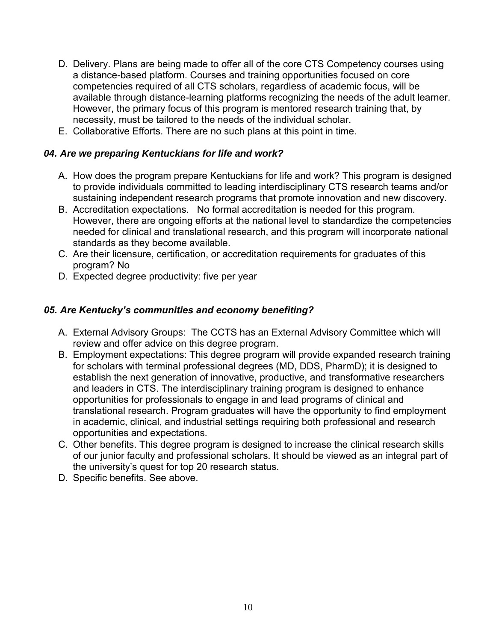- D. Delivery. Plans are being made to offer all of the core CTS Competency courses using a distance-based platform. Courses and training opportunities focused on core competencies required of all CTS scholars, regardless of academic focus, will be available through distance-learning platforms recognizing the needs of the adult learner. However, the primary focus of this program is mentored research training that, by necessity, must be tailored to the needs of the individual scholar.
- E. Collaborative Efforts. There are no such plans at this point in time.

#### *04. Are we preparing Kentuckians for life and work?*

- A. How does the program prepare Kentuckians for life and work? This program is designed to provide individuals committed to leading interdisciplinary CTS research teams and/or sustaining independent research programs that promote innovation and new discovery.
- B. Accreditation expectations. No formal accreditation is needed for this program. However, there are ongoing efforts at the national level to standardize the competencies needed for clinical and translational research, and this program will incorporate national standards as they become available.
- C. Are their licensure, certification, or accreditation requirements for graduates of this program? No
- D. Expected degree productivity: five per year

#### *05. Are Kentucky's communities and economy benefiting?*

- A. External Advisory Groups: The CCTS has an External Advisory Committee which will review and offer advice on this degree program.
- B. Employment expectations: This degree program will provide expanded research training for scholars with terminal professional degrees (MD, DDS, PharmD); it is designed to establish the next generation of innovative, productive, and transformative researchers and leaders in CTS. The interdisciplinary training program is designed to enhance opportunities for professionals to engage in and lead programs of clinical and translational research. Program graduates will have the opportunity to find employment in academic, clinical, and industrial settings requiring both professional and research opportunities and expectations.
- C. Other benefits. This degree program is designed to increase the clinical research skills of our junior faculty and professional scholars. It should be viewed as an integral part of the university's quest for top 20 research status.
- D. Specific benefits. See above.